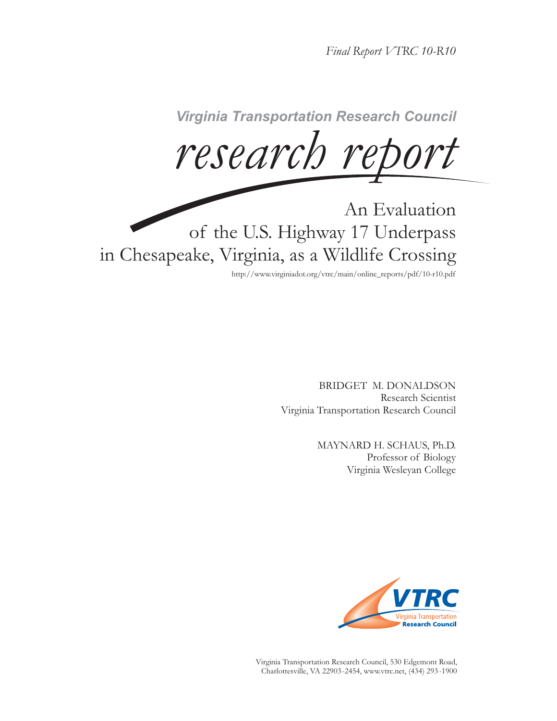*Final Report VTRC 10-R10*

 $research$  report

An Evaluation of the U.S. Highway 17 Underpass in Chesapeake, Virginia, as a Wildlife Crossing

http://www.virginiadot.org/vtrc/main/online\_reports/pdf/10-r10.pdf

BRIDGET M. DONALDSON Research Scientist Virginia Transportation Research Council

> MAYNARD H. SCHAUS, Ph.D. Professor of Biology Virginia Wesleyan College



Virginia Transportation Research Council, 530 Edgemont Road, Charlottesville, VA 22903-2454, www.vtrc.net, (434) 293 -1900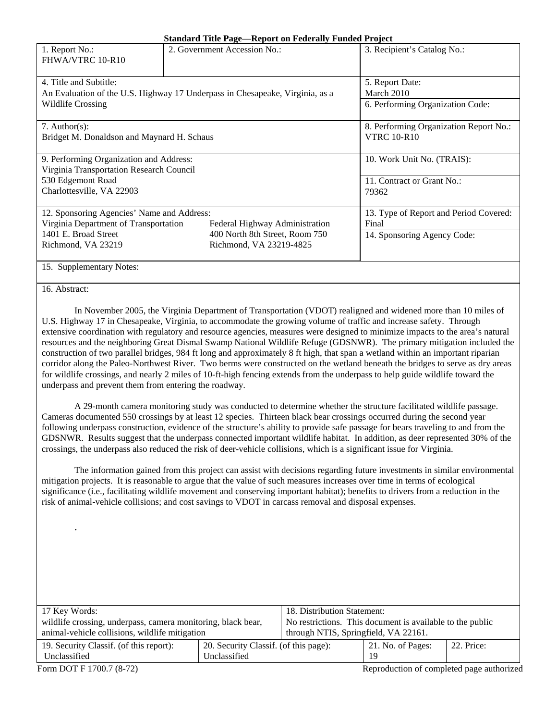|  |  | <b>Standard Title Page—Report on Federally Funded Project</b> |  |
|--|--|---------------------------------------------------------------|--|
|  |  |                                                               |  |

| 1. Report No.:<br>FHWA/VTRC 10-R10                                           | 2. Government Accession No.:           | 3. Recipient's Catalog No.: |  |  |  |  |  |  |
|------------------------------------------------------------------------------|----------------------------------------|-----------------------------|--|--|--|--|--|--|
|                                                                              |                                        |                             |  |  |  |  |  |  |
| 4. Title and Subtitle:                                                       | 5. Report Date:                        |                             |  |  |  |  |  |  |
| An Evaluation of the U.S. Highway 17 Underpass in Chesapeake, Virginia, as a | March 2010                             |                             |  |  |  |  |  |  |
| <b>Wildlife Crossing</b>                                                     | 6. Performing Organization Code:       |                             |  |  |  |  |  |  |
|                                                                              |                                        |                             |  |  |  |  |  |  |
| 7. Author(s):                                                                | 8. Performing Organization Report No.: |                             |  |  |  |  |  |  |
| Bridget M. Donaldson and Maynard H. Schaus                                   | <b>VTRC 10-R10</b>                     |                             |  |  |  |  |  |  |
|                                                                              |                                        |                             |  |  |  |  |  |  |
| 9. Performing Organization and Address:                                      | 10. Work Unit No. (TRAIS):             |                             |  |  |  |  |  |  |
| Virginia Transportation Research Council                                     |                                        |                             |  |  |  |  |  |  |
| 530 Edgemont Road                                                            |                                        | 11. Contract or Grant No.:  |  |  |  |  |  |  |
| Charlottesville, VA 22903                                                    | 79362                                  |                             |  |  |  |  |  |  |
|                                                                              |                                        |                             |  |  |  |  |  |  |
| 12. Sponsoring Agencies' Name and Address:                                   | 13. Type of Report and Period Covered: |                             |  |  |  |  |  |  |
| Virginia Department of Transportation                                        | Federal Highway Administration         | Final                       |  |  |  |  |  |  |
| 1401 E. Broad Street                                                         | 400 North 8th Street, Room 750         | 14. Sponsoring Agency Code: |  |  |  |  |  |  |
| Richmond, VA 23219                                                           | Richmond, VA 23219-4825                |                             |  |  |  |  |  |  |
|                                                                              |                                        |                             |  |  |  |  |  |  |
| 15. Supplementary Notes:                                                     |                                        |                             |  |  |  |  |  |  |

#### 16. Abstract:

In November 2005, the Virginia Department of Transportation (VDOT) realigned and widened more than 10 miles of U.S. Highway 17 in Chesapeake, Virginia, to accommodate the growing volume of traffic and increase safety. Through extensive coordination with regulatory and resource agencies, measures were designed to minimize impacts to the area's natural resources and the neighboring Great Dismal Swamp National Wildlife Refuge (GDSNWR). The primary mitigation included the construction of two parallel bridges, 984 ft long and approximately 8 ft high, that span a wetland within an important riparian corridor along the Paleo-Northwest River. Two berms were constructed on the wetland beneath the bridges to serve as dry areas for wildlife crossings, and nearly 2 miles of 10-ft-high fencing extends from the underpass to help guide wildlife toward the underpass and prevent them from entering the roadway.

A 29-month camera monitoring study was conducted to determine whether the structure facilitated wildlife passage. Cameras documented 550 crossings by at least 12 species. Thirteen black bear crossings occurred during the second year following underpass construction, evidence of the structure's ability to provide safe passage for bears traveling to and from the GDSNWR. Results suggest that the underpass connected important wildlife habitat. In addition, as deer represented 30% of the crossings, the underpass also reduced the risk of deer-vehicle collisions, which is a significant issue for Virginia.

The information gained from this project can assist with decisions regarding future investments in similar environmental mitigation projects. It is reasonable to argue that the value of such measures increases over time in terms of ecological significance (i.e., facilitating wildlife movement and conserving important habitat); benefits to drivers from a reduction in the risk of animal-vehicle collisions; and cost savings to VDOT in carcass removal and disposal expenses.

| 17 Key Words:                                                | 18. Distribution Statement:                               |  |                   |            |
|--------------------------------------------------------------|-----------------------------------------------------------|--|-------------------|------------|
| wildlife crossing, underpass, camera monitoring, black bear, | No restrictions. This document is available to the public |  |                   |            |
| animal-vehicle collisions, wildlife mitigation               | through NTIS, Springfield, VA 22161.                      |  |                   |            |
| 19. Security Classif. (of this report):                      | 20. Security Classif. (of this page):                     |  | 21. No. of Pages: | 22. Price: |
| Unclassified                                                 | Unclassified                                              |  | 19                |            |

.

Form DOT F 1700.7 (8-72) **Reproduction of completed page authorized**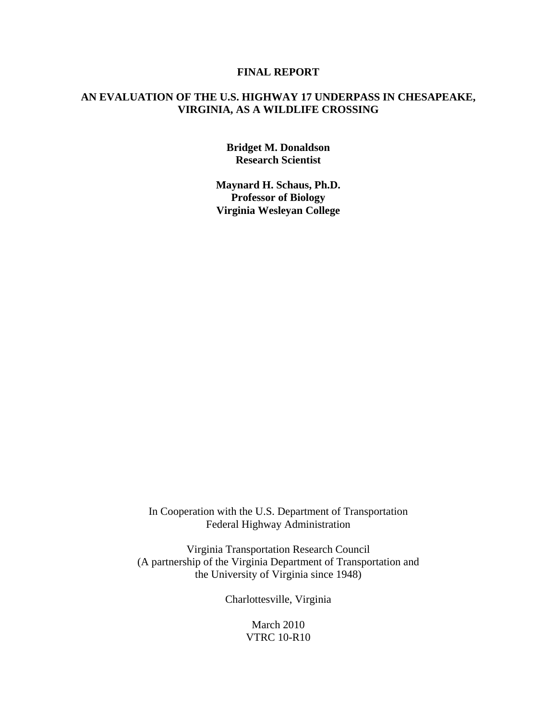### **FINAL REPORT**

# **AN EVALUATION OF THE U.S. HIGHWAY 17 UNDERPASS IN CHESAPEAKE, VIRGINIA, AS A WILDLIFE CROSSING**

**Bridget M. Donaldson Research Scientist** 

**Maynard H. Schaus, Ph.D. Professor of Biology Virginia Wesleyan College** 

In Cooperation with the U.S. Department of Transportation Federal Highway Administration

Virginia Transportation Research Council (A partnership of the Virginia Department of Transportation and the University of Virginia since 1948)

Charlottesville, Virginia

March 2010 VTRC 10-R10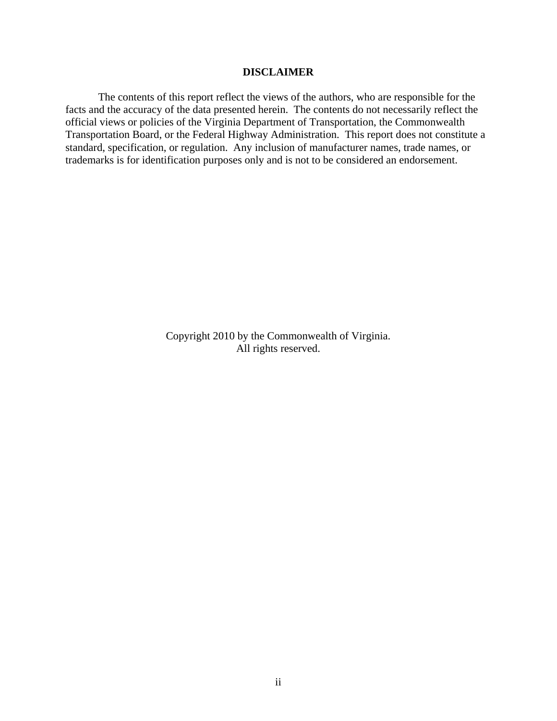### **DISCLAIMER**

The contents of this report reflect the views of the authors, who are responsible for the facts and the accuracy of the data presented herein. The contents do not necessarily reflect the official views or policies of the Virginia Department of Transportation, the Commonwealth Transportation Board, or the Federal Highway Administration. This report does not constitute a standard, specification, or regulation. Any inclusion of manufacturer names, trade names, or trademarks is for identification purposes only and is not to be considered an endorsement.

> Copyright 2010 by the Commonwealth of Virginia. All rights reserved.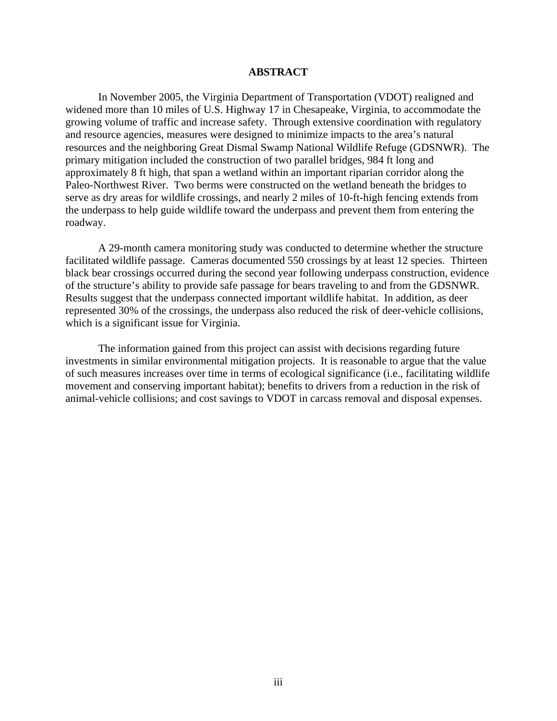## **ABSTRACT**

In November 2005, the Virginia Department of Transportation (VDOT) realigned and widened more than 10 miles of U.S. Highway 17 in Chesapeake, Virginia, to accommodate the growing volume of traffic and increase safety. Through extensive coordination with regulatory and resource agencies, measures were designed to minimize impacts to the area's natural resources and the neighboring Great Dismal Swamp National Wildlife Refuge (GDSNWR). The primary mitigation included the construction of two parallel bridges, 984 ft long and approximately 8 ft high, that span a wetland within an important riparian corridor along the Paleo-Northwest River. Two berms were constructed on the wetland beneath the bridges to serve as dry areas for wildlife crossings, and nearly 2 miles of 10-ft-high fencing extends from the underpass to help guide wildlife toward the underpass and prevent them from entering the roadway.

A 29-month camera monitoring study was conducted to determine whether the structure facilitated wildlife passage. Cameras documented 550 crossings by at least 12 species. Thirteen black bear crossings occurred during the second year following underpass construction, evidence of the structure's ability to provide safe passage for bears traveling to and from the GDSNWR. Results suggest that the underpass connected important wildlife habitat. In addition, as deer represented 30% of the crossings, the underpass also reduced the risk of deer-vehicle collisions, which is a significant issue for Virginia.

The information gained from this project can assist with decisions regarding future investments in similar environmental mitigation projects. It is reasonable to argue that the value of such measures increases over time in terms of ecological significance (i.e., facilitating wildlife movement and conserving important habitat); benefits to drivers from a reduction in the risk of animal-vehicle collisions; and cost savings to VDOT in carcass removal and disposal expenses.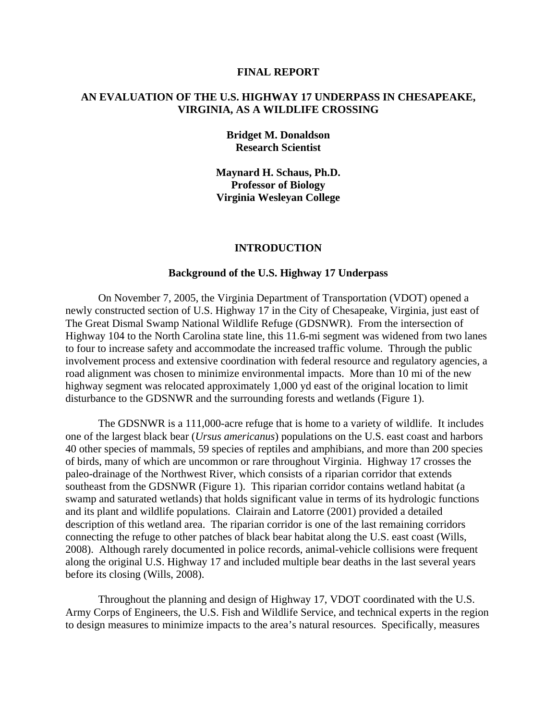#### **FINAL REPORT**

## **AN EVALUATION OF THE U.S. HIGHWAY 17 UNDERPASS IN CHESAPEAKE, VIRGINIA, AS A WILDLIFE CROSSING**

## **Bridget M. Donaldson Research Scientist**

**Maynard H. Schaus, Ph.D. Professor of Biology Virginia Wesleyan College**

#### **INTRODUCTION**

#### **Background of the U.S. Highway 17 Underpass**

On November 7, 2005, the Virginia Department of Transportation (VDOT) opened a newly constructed section of U.S. Highway 17 in the City of Chesapeake, Virginia, just east of The Great Dismal Swamp National Wildlife Refuge (GDSNWR). From the intersection of Highway 104 to the North Carolina state line, this 11.6-mi segment was widened from two lanes to four to increase safety and accommodate the increased traffic volume. Through the public involvement process and extensive coordination with federal resource and regulatory agencies, a road alignment was chosen to minimize environmental impacts. More than 10 mi of the new highway segment was relocated approximately 1,000 yd east of the original location to limit disturbance to the GDSNWR and the surrounding forests and wetlands (Figure 1).

The GDSNWR is a 111,000-acre refuge that is home to a variety of wildlife. It includes one of the largest black bear (*Ursus americanus*) populations on the U.S. east coast and harbors 40 other species of mammals, 59 species of reptiles and amphibians, and more than 200 species of birds, many of which are uncommon or rare throughout Virginia. Highway 17 crosses the paleo-drainage of the Northwest River, which consists of a riparian corridor that extends southeast from the GDSNWR (Figure 1). This riparian corridor contains wetland habitat (a swamp and saturated wetlands) that holds significant value in terms of its hydrologic functions and its plant and wildlife populations. Clairain and Latorre (2001) provided a detailed description of this wetland area. The riparian corridor is one of the last remaining corridors connecting the refuge to other patches of black bear habitat along the U.S. east coast (Wills, 2008). Although rarely documented in police records, animal-vehicle collisions were frequent along the original U.S. Highway 17 and included multiple bear deaths in the last several years before its closing (Wills, 2008).

Throughout the planning and design of Highway 17, VDOT coordinated with the U.S. Army Corps of Engineers, the U.S. Fish and Wildlife Service, and technical experts in the region to design measures to minimize impacts to the area's natural resources. Specifically, measures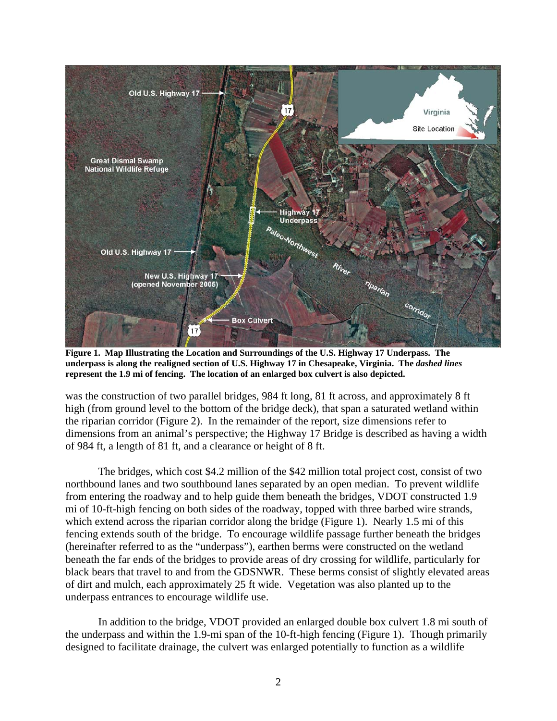

**Figure 1. Map Illustrating the Location and Surroundings of the U.S. Highway 17 Underpass. The underpass is along the realigned section of U.S. Highway 17 in Chesapeake, Virginia. The** *dashed lines* **represent the 1.9 mi of fencing. The location of an enlarged box culvert is also depicted.** 

was the construction of two parallel bridges, 984 ft long, 81 ft across, and approximately 8 ft high (from ground level to the bottom of the bridge deck), that span a saturated wetland within the riparian corridor (Figure 2). In the remainder of the report, size dimensions refer to dimensions from an animal's perspective; the Highway 17 Bridge is described as having a width of 984 ft, a length of 81 ft, and a clearance or height of 8 ft.

 The bridges, which cost \$4.2 million of the \$42 million total project cost, consist of two northbound lanes and two southbound lanes separated by an open median. To prevent wildlife from entering the roadway and to help guide them beneath the bridges, VDOT constructed 1.9 mi of 10-ft-high fencing on both sides of the roadway, topped with three barbed wire strands, which extend across the riparian corridor along the bridge (Figure 1). Nearly 1.5 mi of this fencing extends south of the bridge. To encourage wildlife passage further beneath the bridges (hereinafter referred to as the "underpass"), earthen berms were constructed on the wetland beneath the far ends of the bridges to provide areas of dry crossing for wildlife, particularly for black bears that travel to and from the GDSNWR. These berms consist of slightly elevated areas of dirt and mulch, each approximately 25 ft wide. Vegetation was also planted up to the underpass entrances to encourage wildlife use.

 In addition to the bridge, VDOT provided an enlarged double box culvert 1.8 mi south of the underpass and within the 1.9-mi span of the 10-ft-high fencing (Figure 1). Though primarily designed to facilitate drainage, the culvert was enlarged potentially to function as a wildlife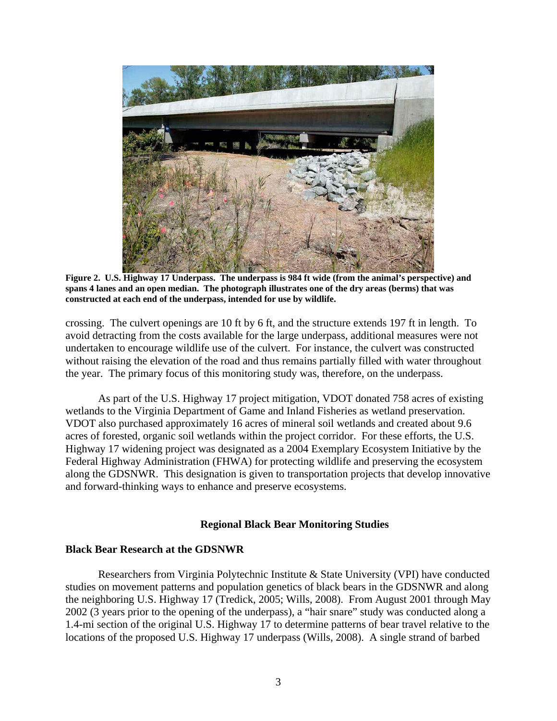

**Figure 2. U.S. Highway 17 Underpass. The underpass is 984 ft wide (from the animal's perspective) and spans 4 lanes and an open median. The photograph illustrates one of the dry areas (berms) that was constructed at each end of the underpass, intended for use by wildlife.** 

crossing. The culvert openings are 10 ft by 6 ft, and the structure extends 197 ft in length. To avoid detracting from the costs available for the large underpass, additional measures were not undertaken to encourage wildlife use of the culvert. For instance, the culvert was constructed without raising the elevation of the road and thus remains partially filled with water throughout the year. The primary focus of this monitoring study was, therefore, on the underpass.

As part of the U.S. Highway 17 project mitigation, VDOT donated 758 acres of existing wetlands to the Virginia Department of Game and Inland Fisheries as wetland preservation. VDOT also purchased approximately 16 acres of mineral soil wetlands and created about 9.6 acres of forested, organic soil wetlands within the project corridor. For these efforts, the U.S. Highway 17 widening project was designated as a 2004 Exemplary Ecosystem Initiative by the Federal Highway Administration (FHWA) for protecting wildlife and preserving the ecosystem along the GDSNWR. This designation is given to transportation projects that develop innovative and forward-thinking ways to enhance and preserve ecosystems.

#### **Regional Black Bear Monitoring Studies**

#### **Black Bear Research at the GDSNWR**

Researchers from Virginia Polytechnic Institute & State University (VPI) have conducted studies on movement patterns and population genetics of black bears in the GDSNWR and along the neighboring U.S. Highway 17 (Tredick, 2005; Wills, 2008). From August 2001 through May 2002 (3 years prior to the opening of the underpass), a "hair snare" study was conducted along a 1.4-mi section of the original U.S. Highway 17 to determine patterns of bear travel relative to the locations of the proposed U.S. Highway 17 underpass (Wills, 2008). A single strand of barbed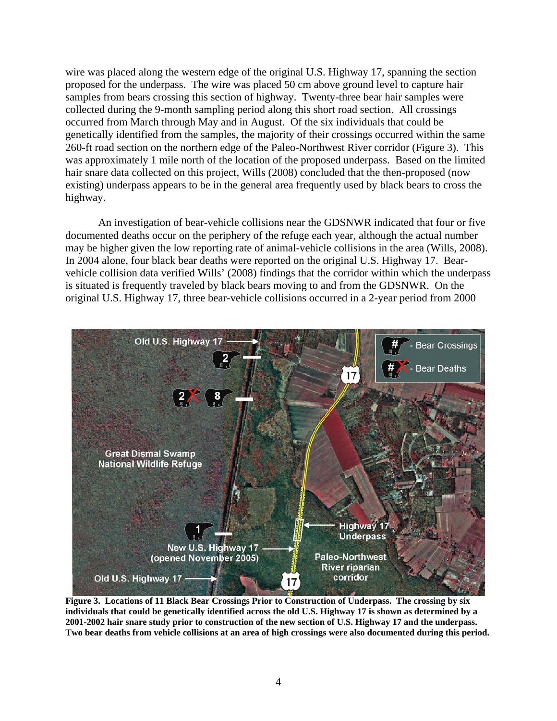wire was placed along the western edge of the original U.S. Highway 17, spanning the section proposed for the underpass. The wire was placed 50 cm above ground level to capture hair samples from bears crossing this section of highway. Twenty-three bear hair samples were collected during the 9-month sampling period along this short road section. All crossings occurred from March through May and in August. Of the six individuals that could be genetically identified from the samples, the majority of their crossings occurred within the same 260-ft road section on the northern edge of the Paleo-Northwest River corridor (Figure 3). This was approximately 1 mile north of the location of the proposed underpass. Based on the limited hair snare data collected on this project, Wills (2008) concluded that the then-proposed (now existing) underpass appears to be in the general area frequently used by black bears to cross the highway.

An investigation of bear-vehicle collisions near the GDSNWR indicated that four or five documented deaths occur on the periphery of the refuge each year, although the actual number may be higher given the low reporting rate of animal-vehicle collisions in the area (Wills, 2008). In 2004 alone, four black bear deaths were reported on the original U.S. Highway 17. Bearvehicle collision data verified Wills' (2008) findings that the corridor within which the underpass is situated is frequently traveled by black bears moving to and from the GDSNWR. On the original U.S. Highway 17, three bear-vehicle collisions occurred in a 2-year period from 2000



**Figure 3. Locations of 11 Black Bear Crossings Prior to Construction of Underpass. The crossing by six individuals that could be genetically identified across the old U.S. Highway 17 is shown as determined by a 2001-2002 hair snare study prior to construction of the new section of U.S. Highway 17 and the underpass. Two bear deaths from vehicle collisions at an area of high crossings were also documented during this period.**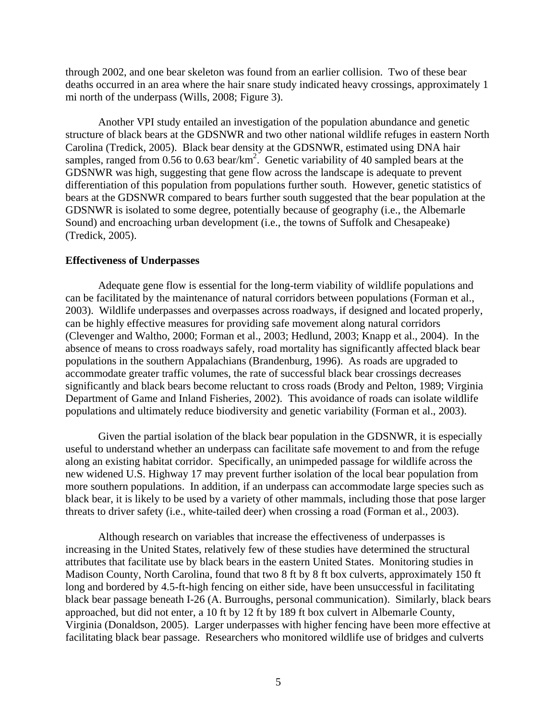through 2002, and one bear skeleton was found from an earlier collision. Two of these bear deaths occurred in an area where the hair snare study indicated heavy crossings, approximately 1 mi north of the underpass (Wills, 2008; Figure 3).

Another VPI study entailed an investigation of the population abundance and genetic structure of black bears at the GDSNWR and two other national wildlife refuges in eastern North Carolina (Tredick, 2005). Black bear density at the GDSNWR, estimated using DNA hair samples, ranged from 0.56 to 0.63 bear/km<sup>2</sup>. Genetic variability of 40 sampled bears at the GDSNWR was high, suggesting that gene flow across the landscape is adequate to prevent differentiation of this population from populations further south. However, genetic statistics of bears at the GDSNWR compared to bears further south suggested that the bear population at the GDSNWR is isolated to some degree, potentially because of geography (i.e., the Albemarle Sound) and encroaching urban development (i.e., the towns of Suffolk and Chesapeake) (Tredick, 2005).

## **Effectiveness of Underpasses**

Adequate gene flow is essential for the long-term viability of wildlife populations and can be facilitated by the maintenance of natural corridors between populations (Forman et al., 2003). Wildlife underpasses and overpasses across roadways, if designed and located properly, can be highly effective measures for providing safe movement along natural corridors (Clevenger and Waltho, 2000; Forman et al., 2003; Hedlund, 2003; Knapp et al., 2004). In the absence of means to cross roadways safely, road mortality has significantly affected black bear populations in the southern Appalachians (Brandenburg, 1996). As roads are upgraded to accommodate greater traffic volumes, the rate of successful black bear crossings decreases significantly and black bears become reluctant to cross roads (Brody and Pelton, 1989; Virginia Department of Game and Inland Fisheries, 2002). This avoidance of roads can isolate wildlife populations and ultimately reduce biodiversity and genetic variability (Forman et al., 2003).

Given the partial isolation of the black bear population in the GDSNWR, it is especially useful to understand whether an underpass can facilitate safe movement to and from the refuge along an existing habitat corridor. Specifically, an unimpeded passage for wildlife across the new widened U.S. Highway 17 may prevent further isolation of the local bear population from more southern populations. In addition, if an underpass can accommodate large species such as black bear, it is likely to be used by a variety of other mammals, including those that pose larger threats to driver safety (i.e., white-tailed deer) when crossing a road (Forman et al., 2003).

Although research on variables that increase the effectiveness of underpasses is increasing in the United States, relatively few of these studies have determined the structural attributes that facilitate use by black bears in the eastern United States. Monitoring studies in Madison County, North Carolina, found that two 8 ft by 8 ft box culverts, approximately 150 ft long and bordered by 4.5-ft-high fencing on either side, have been unsuccessful in facilitating black bear passage beneath I-26 (A. Burroughs, personal communication). Similarly, black bears approached, but did not enter, a 10 ft by 12 ft by 189 ft box culvert in Albemarle County, Virginia (Donaldson, 2005). Larger underpasses with higher fencing have been more effective at facilitating black bear passage. Researchers who monitored wildlife use of bridges and culverts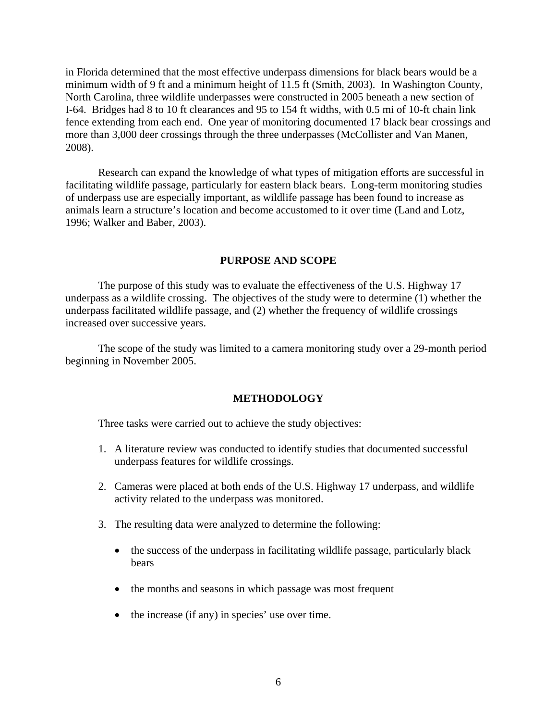in Florida determined that the most effective underpass dimensions for black bears would be a minimum width of 9 ft and a minimum height of 11.5 ft (Smith, 2003). In Washington County, North Carolina, three wildlife underpasses were constructed in 2005 beneath a new section of I-64. Bridges had 8 to 10 ft clearances and 95 to 154 ft widths, with 0.5 mi of 10-ft chain link fence extending from each end. One year of monitoring documented 17 black bear crossings and more than 3,000 deer crossings through the three underpasses (McCollister and Van Manen, 2008).

Research can expand the knowledge of what types of mitigation efforts are successful in facilitating wildlife passage, particularly for eastern black bears. Long-term monitoring studies of underpass use are especially important, as wildlife passage has been found to increase as animals learn a structure's location and become accustomed to it over time (Land and Lotz, 1996; Walker and Baber, 2003).

## **PURPOSE AND SCOPE**

The purpose of this study was to evaluate the effectiveness of the U.S. Highway 17 underpass as a wildlife crossing. The objectives of the study were to determine (1) whether the underpass facilitated wildlife passage, and (2) whether the frequency of wildlife crossings increased over successive years.

The scope of the study was limited to a camera monitoring study over a 29-month period beginning in November 2005.

### **METHODOLOGY**

Three tasks were carried out to achieve the study objectives:

- 1. A literature review was conducted to identify studies that documented successful underpass features for wildlife crossings.
- 2. Cameras were placed at both ends of the U.S. Highway 17 underpass, and wildlife activity related to the underpass was monitored.
- 3. The resulting data were analyzed to determine the following:
	- the success of the underpass in facilitating wildlife passage, particularly black bears
	- the months and seasons in which passage was most frequent
	- the increase (if any) in species' use over time.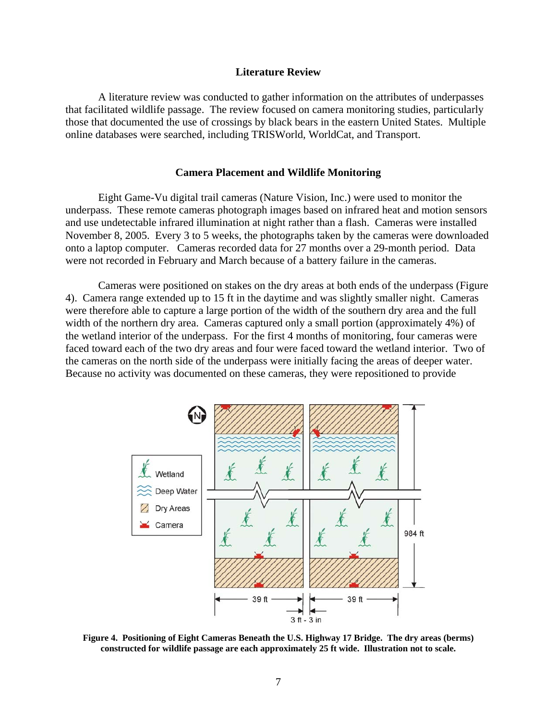#### **Literature Review**

 A literature review was conducted to gather information on the attributes of underpasses that facilitated wildlife passage. The review focused on camera monitoring studies, particularly those that documented the use of crossings by black bears in the eastern United States. Multiple online databases were searched, including TRISWorld, WorldCat, and Transport.

#### **Camera Placement and Wildlife Monitoring**

 Eight Game-Vu digital trail cameras (Nature Vision, Inc.) were used to monitor the underpass. These remote cameras photograph images based on infrared heat and motion sensors and use undetectable infrared illumination at night rather than a flash. Cameras were installed November 8, 2005. Every 3 to 5 weeks, the photographs taken by the cameras were downloaded onto a laptop computer. Cameras recorded data for 27 months over a 29-month period. Data were not recorded in February and March because of a battery failure in the cameras.

 Cameras were positioned on stakes on the dry areas at both ends of the underpass (Figure 4). Camera range extended up to 15 ft in the daytime and was slightly smaller night. Cameras were therefore able to capture a large portion of the width of the southern dry area and the full width of the northern dry area. Cameras captured only a small portion (approximately 4%) of the wetland interior of the underpass. For the first 4 months of monitoring, four cameras were faced toward each of the two dry areas and four were faced toward the wetland interior. Two of the cameras on the north side of the underpass were initially facing the areas of deeper water. Because no activity was documented on these cameras, they were repositioned to provide



**Figure 4. Positioning of Eight Cameras Beneath the U.S. Highway 17 Bridge. The dry areas (berms) constructed for wildlife passage are each approximately 25 ft wide. Illustration not to scale.**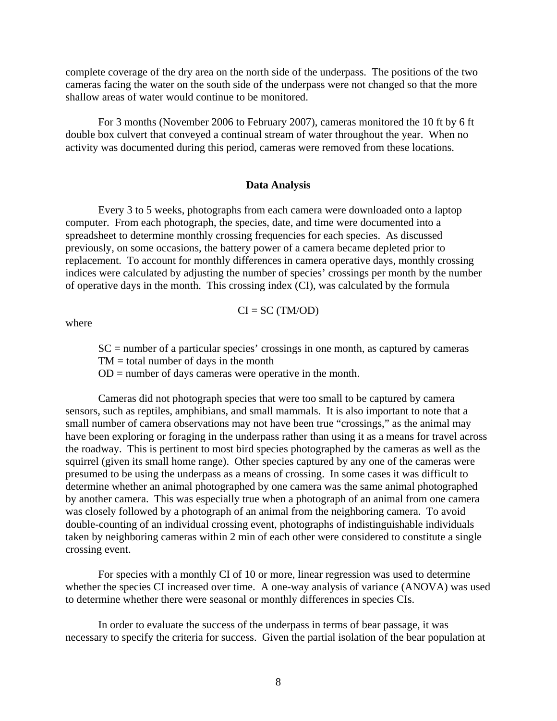complete coverage of the dry area on the north side of the underpass. The positions of the two cameras facing the water on the south side of the underpass were not changed so that the more shallow areas of water would continue to be monitored.

 For 3 months (November 2006 to February 2007), cameras monitored the 10 ft by 6 ft double box culvert that conveyed a continual stream of water throughout the year. When no activity was documented during this period, cameras were removed from these locations.

## **Data Analysis**

Every 3 to 5 weeks, photographs from each camera were downloaded onto a laptop computer. From each photograph, the species, date, and time were documented into a spreadsheet to determine monthly crossing frequencies for each species. As discussed previously, on some occasions, the battery power of a camera became depleted prior to replacement. To account for monthly differences in camera operative days, monthly crossing indices were calculated by adjusting the number of species' crossings per month by the number of operative days in the month. This crossing index (CI), was calculated by the formula

$$
CI = SC (TM/OD)
$$

where

 $SC =$  number of a particular species' crossings in one month, as captured by cameras  $TM = total$  number of days in the month

 $OD =$  number of days cameras were operative in the month.

 Cameras did not photograph species that were too small to be captured by camera sensors, such as reptiles, amphibians, and small mammals. It is also important to note that a small number of camera observations may not have been true "crossings," as the animal may have been exploring or foraging in the underpass rather than using it as a means for travel across the roadway. This is pertinent to most bird species photographed by the cameras as well as the squirrel (given its small home range). Other species captured by any one of the cameras were presumed to be using the underpass as a means of crossing. In some cases it was difficult to determine whether an animal photographed by one camera was the same animal photographed by another camera. This was especially true when a photograph of an animal from one camera was closely followed by a photograph of an animal from the neighboring camera. To avoid double-counting of an individual crossing event, photographs of indistinguishable individuals taken by neighboring cameras within 2 min of each other were considered to constitute a single crossing event.

For species with a monthly CI of 10 or more, linear regression was used to determine whether the species CI increased over time. A one-way analysis of variance (ANOVA) was used to determine whether there were seasonal or monthly differences in species CIs.

In order to evaluate the success of the underpass in terms of bear passage, it was necessary to specify the criteria for success. Given the partial isolation of the bear population at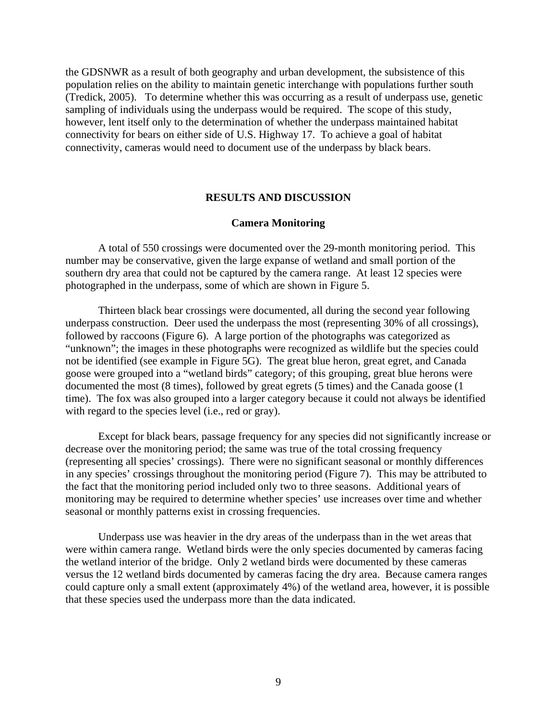the GDSNWR as a result of both geography and urban development, the subsistence of this population relies on the ability to maintain genetic interchange with populations further south (Tredick, 2005). To determine whether this was occurring as a result of underpass use, genetic sampling of individuals using the underpass would be required. The scope of this study, however, lent itself only to the determination of whether the underpass maintained habitat connectivity for bears on either side of U.S. Highway 17. To achieve a goal of habitat connectivity, cameras would need to document use of the underpass by black bears.

### **RESULTS AND DISCUSSION**

## **Camera Monitoring**

A total of 550 crossings were documented over the 29-month monitoring period. This number may be conservative, given the large expanse of wetland and small portion of the southern dry area that could not be captured by the camera range. At least 12 species were photographed in the underpass, some of which are shown in Figure 5.

Thirteen black bear crossings were documented, all during the second year following underpass construction. Deer used the underpass the most (representing 30% of all crossings), followed by raccoons (Figure 6). A large portion of the photographs was categorized as "unknown"; the images in these photographs were recognized as wildlife but the species could not be identified (see example in Figure 5G). The great blue heron, great egret, and Canada goose were grouped into a "wetland birds" category; of this grouping, great blue herons were documented the most (8 times), followed by great egrets (5 times) and the Canada goose (1 time). The fox was also grouped into a larger category because it could not always be identified with regard to the species level (i.e., red or gray).

Except for black bears, passage frequency for any species did not significantly increase or decrease over the monitoring period; the same was true of the total crossing frequency (representing all species' crossings). There were no significant seasonal or monthly differences in any species' crossings throughout the monitoring period (Figure 7). This may be attributed to the fact that the monitoring period included only two to three seasons. Additional years of monitoring may be required to determine whether species' use increases over time and whether seasonal or monthly patterns exist in crossing frequencies.

Underpass use was heavier in the dry areas of the underpass than in the wet areas that were within camera range. Wetland birds were the only species documented by cameras facing the wetland interior of the bridge. Only 2 wetland birds were documented by these cameras versus the 12 wetland birds documented by cameras facing the dry area. Because camera ranges could capture only a small extent (approximately 4%) of the wetland area, however, it is possible that these species used the underpass more than the data indicated.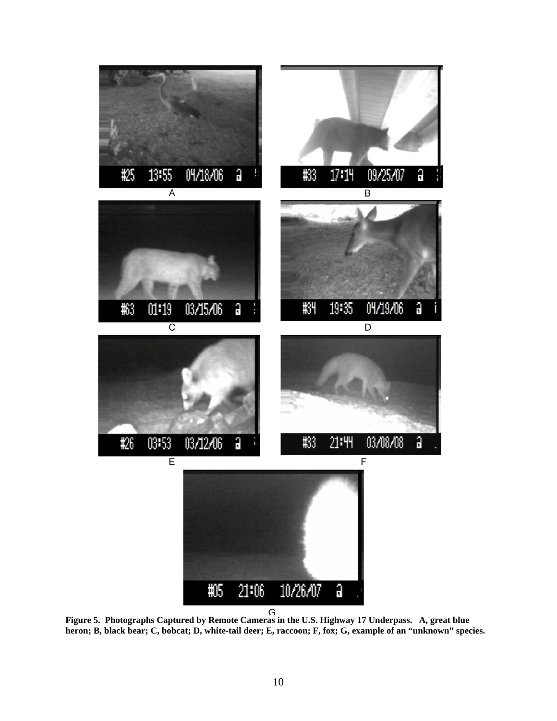

**Figure 5. Photographs Captured by Remote Cameras in the U.S. Highway 17 Underpass. A, great blue heron; B, black bear; C, bobcat; D, white-tail deer; E, raccoon; F, fox; G, example of an "unknown" species.**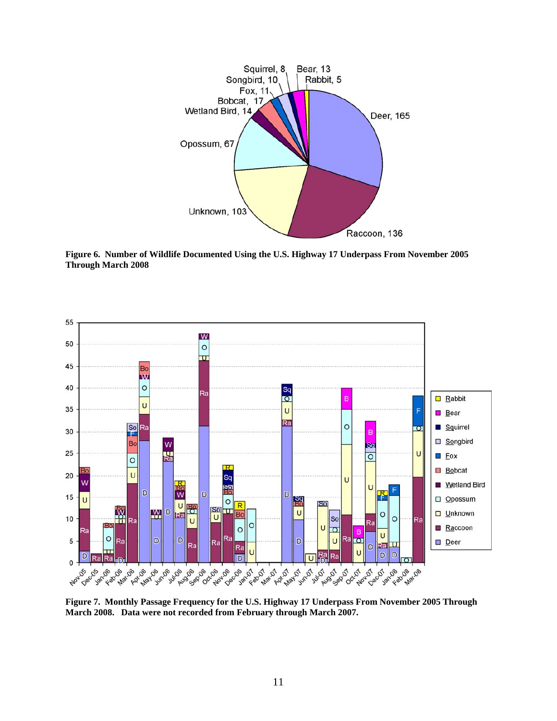

**Figure 6. Number of Wildlife Documented Using the U.S. Highway 17 Underpass From November 2005 Through March 2008** 



**Figure 7. Monthly Passage Frequency for the U.S. Highway 17 Underpass From November 2005 Through March 2008. Data were not recorded from February through March 2007.**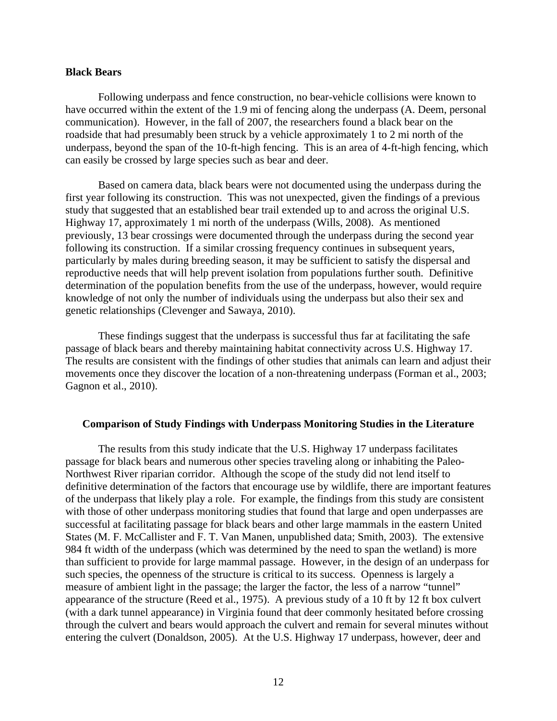## **Black Bears**

Following underpass and fence construction, no bear-vehicle collisions were known to have occurred within the extent of the 1.9 mi of fencing along the underpass (A. Deem, personal communication). However, in the fall of 2007, the researchers found a black bear on the roadside that had presumably been struck by a vehicle approximately 1 to 2 mi north of the underpass, beyond the span of the 10-ft-high fencing. This is an area of 4-ft-high fencing, which can easily be crossed by large species such as bear and deer.

Based on camera data, black bears were not documented using the underpass during the first year following its construction. This was not unexpected, given the findings of a previous study that suggested that an established bear trail extended up to and across the original U.S. Highway 17, approximately 1 mi north of the underpass (Wills, 2008). As mentioned previously, 13 bear crossings were documented through the underpass during the second year following its construction. If a similar crossing frequency continues in subsequent years, particularly by males during breeding season, it may be sufficient to satisfy the dispersal and reproductive needs that will help prevent isolation from populations further south. Definitive determination of the population benefits from the use of the underpass, however, would require knowledge of not only the number of individuals using the underpass but also their sex and genetic relationships (Clevenger and Sawaya, 2010).

These findings suggest that the underpass is successful thus far at facilitating the safe passage of black bears and thereby maintaining habitat connectivity across U.S. Highway 17. The results are consistent with the findings of other studies that animals can learn and adjust their movements once they discover the location of a non-threatening underpass (Forman et al., 2003; Gagnon et al., 2010).

#### **Comparison of Study Findings with Underpass Monitoring Studies in the Literature**

The results from this study indicate that the U.S. Highway 17 underpass facilitates passage for black bears and numerous other species traveling along or inhabiting the Paleo-Northwest River riparian corridor. Although the scope of the study did not lend itself to definitive determination of the factors that encourage use by wildlife, there are important features of the underpass that likely play a role. For example, the findings from this study are consistent with those of other underpass monitoring studies that found that large and open underpasses are successful at facilitating passage for black bears and other large mammals in the eastern United States (M. F. McCallister and F. T. Van Manen, unpublished data; Smith, 2003). The extensive 984 ft width of the underpass (which was determined by the need to span the wetland) is more than sufficient to provide for large mammal passage. However, in the design of an underpass for such species, the openness of the structure is critical to its success. Openness is largely a measure of ambient light in the passage; the larger the factor, the less of a narrow "tunnel" appearance of the structure (Reed et al., 1975).A previous study of a 10 ft by 12 ft box culvert (with a dark tunnel appearance) in Virginia found that deer commonly hesitated before crossing through the culvert and bears would approach the culvert and remain for several minutes without entering the culvert (Donaldson, 2005). At the U.S. Highway 17 underpass, however, deer and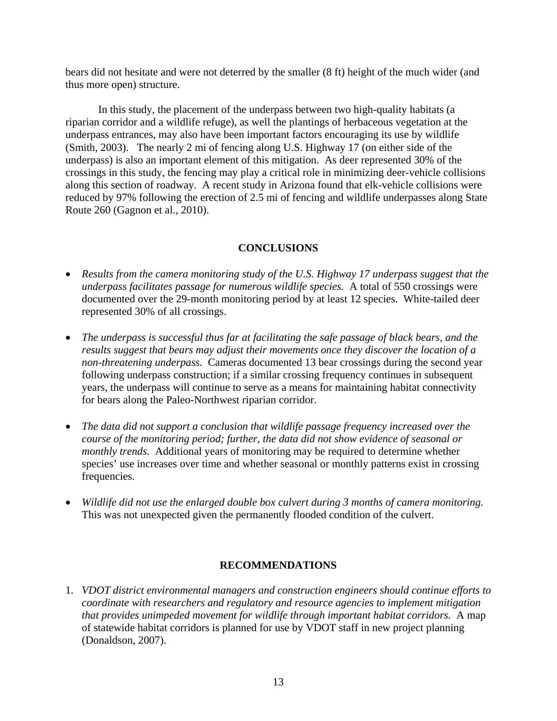bears did not hesitate and were not deterred by the smaller (8 ft) height of the much wider (and thus more open) structure.

In this study, the placement of the underpass between two high-quality habitats (a riparian corridor and a wildlife refuge), as well the plantings of herbaceous vegetation at the underpass entrances, may also have been important factors encouraging its use by wildlife (Smith, 2003). The nearly 2 mi of fencing along U.S. Highway 17 (on either side of the underpass) is also an important element of this mitigation. As deer represented 30% of the crossings in this study, the fencing may play a critical role in minimizing deer-vehicle collisions along this section of roadway. A recent study in Arizona found that elk-vehicle collisions were reduced by 97% following the erection of 2.5 mi of fencing and wildlife underpasses along State Route 260 (Gagnon et al., 2010).

# **CONCLUSIONS**

- *Results from the camera monitoring study of the U.S. Highway 17 underpass suggest that the underpass facilitates passage for numerous wildlife species.* A total of 550 crossings were documented over the 29-month monitoring period by at least 12 species. White-tailed deer represented 30% of all crossings.
- *The underpass is successful thus far at facilitating the safe passage of black bears, and the results suggest that bears may adjust their movements once they discover the location of a non-threatening underpass.* Cameras documented 13 bear crossings during the second year following underpass construction; if a similar crossing frequency continues in subsequent years, the underpass will continue to serve as a means for maintaining habitat connectivity for bears along the Paleo-Northwest riparian corridor.
- *The data did not support a conclusion that wildlife passage frequency increased over the course of the monitoring period; further, the data did not show evidence of seasonal or monthly trends.* Additional years of monitoring may be required to determine whether species' use increases over time and whether seasonal or monthly patterns exist in crossing frequencies.
- *Wildlife did not use the enlarged double box culvert during 3 months of camera monitoring.*  This was not unexpected given the permanently flooded condition of the culvert.

# **RECOMMENDATIONS**

1. *VDOT district environmental managers and construction engineers should continue efforts to coordinate with researchers and regulatory and resource agencies to implement mitigation that provides unimpeded movement for wildlife through important habitat corridors.* A map of statewide habitat corridors is planned for use by VDOT staff in new project planning (Donaldson, 2007).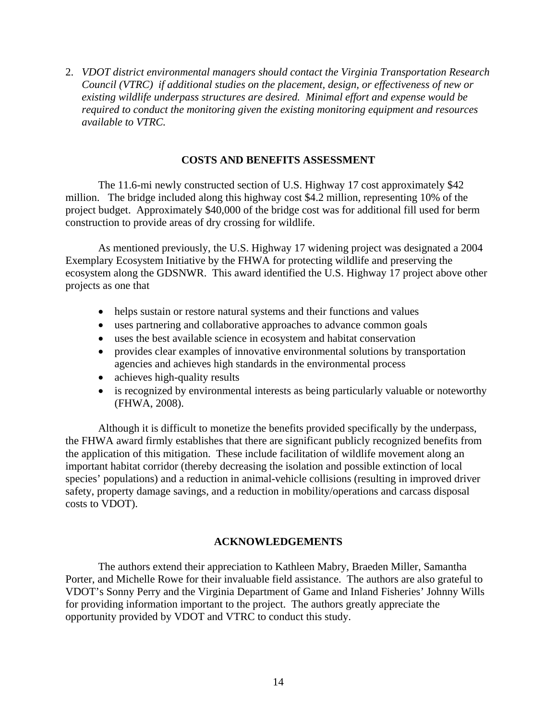2. *VDOT district environmental managers should contact the Virginia Transportation Research Council (VTRC) if additional studies on the placement, design, or effectiveness of new or existing wildlife underpass structures are desired. Minimal effort and expense would be required to conduct the monitoring given the existing monitoring equipment and resources available to VTRC.*

# **COSTS AND BENEFITS ASSESSMENT**

The 11.6-mi newly constructed section of U.S. Highway 17 cost approximately \$42 million. The bridge included along this highway cost \$4.2 million, representing 10% of the project budget. Approximately \$40,000 of the bridge cost was for additional fill used for berm construction to provide areas of dry crossing for wildlife.

As mentioned previously, the U.S. Highway 17 widening project was designated a 2004 Exemplary Ecosystem Initiative by the FHWA for protecting wildlife and preserving the ecosystem along the GDSNWR. This award identified the U.S. Highway 17 project above other projects as one that

- helps sustain or restore natural systems and their functions and values
- uses partnering and collaborative approaches to advance common goals
- uses the best available science in ecosystem and habitat conservation
- provides clear examples of innovative environmental solutions by transportation agencies and achieves high standards in the environmental process
- achieves high-quality results
- is recognized by environmental interests as being particularly valuable or noteworthy (FHWA, 2008).

Although it is difficult to monetize the benefits provided specifically by the underpass, the FHWA award firmly establishes that there are significant publicly recognized benefits from the application of this mitigation. These include facilitation of wildlife movement along an important habitat corridor (thereby decreasing the isolation and possible extinction of local species' populations) and a reduction in animal-vehicle collisions (resulting in improved driver safety, property damage savings, and a reduction in mobility/operations and carcass disposal costs to VDOT).

## **ACKNOWLEDGEMENTS**

The authors extend their appreciation to Kathleen Mabry, Braeden Miller, Samantha Porter, and Michelle Rowe for their invaluable field assistance. The authors are also grateful to VDOT's Sonny Perry and the Virginia Department of Game and Inland Fisheries' Johnny Wills for providing information important to the project. The authors greatly appreciate the opportunity provided by VDOT and VTRC to conduct this study.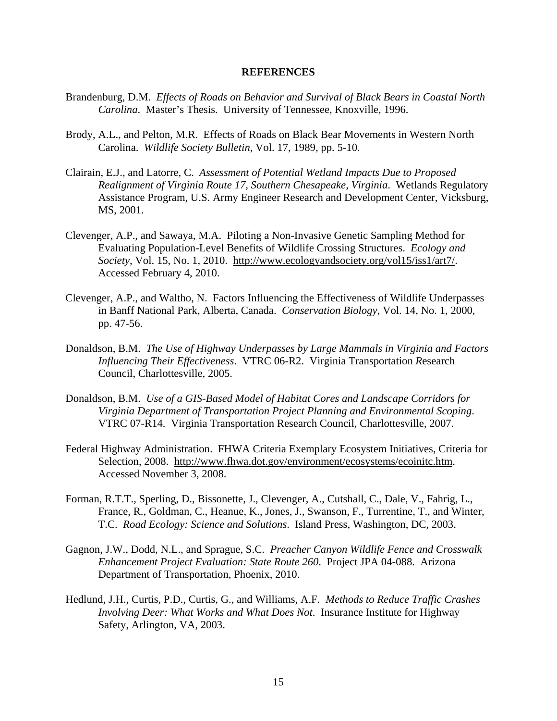#### **REFERENCES**

- Brandenburg, D.M. *Effects of Roads on Behavior and Survival of Black Bears in Coastal North Carolina*. Master's Thesis. University of Tennessee, Knoxville, 1996.
- Brody, A.L., and Pelton, M.R. Effects of Roads on Black Bear Movements in Western North Carolina. *Wildlife Society Bulletin*, Vol. 17, 1989, pp. 5-10.
- Clairain, E.J., and Latorre, C. *Assessment of Potential Wetland Impacts Due to Proposed Realignment of Virginia Route 17, Southern Chesapeake, Virginia*. Wetlands Regulatory Assistance Program, U.S. Army Engineer Research and Development Center, Vicksburg, MS, 2001.
- Clevenger, A.P., and Sawaya, M.A. Piloting a Non-Invasive Genetic Sampling Method for Evaluating Population-Level Benefits of Wildlife Crossing Structures. *Ecology and Society*, Vol. 15, No. 1, 2010. http://www.ecologyandsociety.org/vol15/iss1/art7/. Accessed February 4, 2010.
- Clevenger, A.P., and Waltho, N. Factors Influencing the Effectiveness of Wildlife Underpasses in Banff National Park, Alberta, Canada. *Conservation Biology*, Vol. 14, No. 1, 2000, pp. 47-56.
- Donaldson, B.M. *The Use of Highway Underpasses by Large Mammals in Virginia and Factors Influencing Their Effectiveness*. VTRC 06-R2. Virginia Transportation *R*esearch Council, Charlottesville, 2005.
- Donaldson, B.M. *Use of a GIS-Based Model of Habitat Cores and Landscape Corridors for Virginia Department of Transportation Project Planning and Environmental Scoping*. VTRC 07-R14. Virginia Transportation Research Council, Charlottesville, 2007.
- Federal Highway Administration. FHWA Criteria Exemplary Ecosystem Initiatives, Criteria for Selection, 2008. http://www.fhwa.dot.gov/environment/ecosystems/ecoinitc.htm. Accessed November 3, 2008.
- Forman, R.T.T., Sperling, D., Bissonette, J., Clevenger, A., Cutshall, C., Dale, V., Fahrig, L., France, R., Goldman, C., Heanue, K., Jones, J., Swanson, F., Turrentine, T., and Winter, T.C. *Road Ecology: Science and Solutions*. Island Press, Washington, DC, 2003.
- Gagnon, J.W., Dodd, N.L., and Sprague, S.C. *Preacher Canyon Wildlife Fence and Crosswalk Enhancement Project Evaluation: State Route 260*. Project JPA 04-088. Arizona Department of Transportation, Phoenix, 2010.
- Hedlund, J.H., Curtis, P.D., Curtis, G., and Williams, A.F. *Methods to Reduce Traffic Crashes Involving Deer: What Works and What Does Not*. Insurance Institute for Highway Safety, Arlington, VA, 2003.